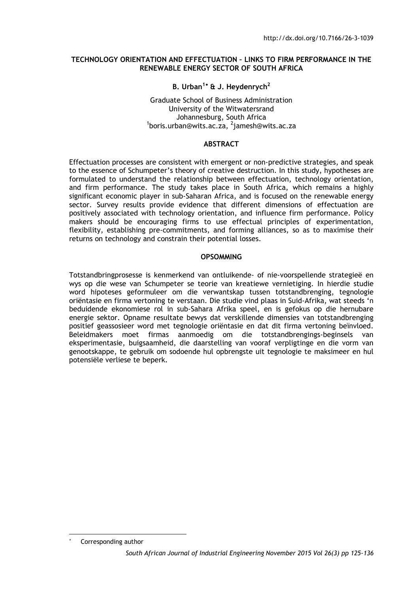#### **TECHNOLOGY ORIENTATION AND EFFECTUATION – LINKS TO FIRM PERFORMANCE IN THE RENEWABLE ENERGY SECTOR OF SOUTH AFRICA**

# **B. Urban1**[∗](#page-0-0) **& J. Heydenrych2**

# Graduate School of Business Administration University of the Witwatersrand Johannesburg, South Africa <sup>1</sup> boris.urban@wits.ac.za, <sup>2</sup> jamesh@wits.ac.za

#### **ABSTRACT**

Effectuation processes are consistent with emergent or non-predictive strategies, and speak to the essence of Schumpeter's theory of creative destruction. In this study, hypotheses are formulated to understand the relationship between effectuation, technology orientation, and firm performance. The study takes place in South Africa, which remains a highly significant economic player in sub-Saharan Africa, and is focused on the renewable energy sector. Survey results provide evidence that different dimensions of effectuation are positively associated with technology orientation, and influence firm performance. Policy makers should be encouraging firms to use effectual principles of experimentation, flexibility, establishing pre-commitments, and forming alliances, so as to maximise their returns on technology and constrain their potential losses.

#### **OPSOMMING**

Totstandbringprosesse is kenmerkend van ontluikende- of nie-voorspellende strategieë en wys op die wese van Schumpeter se teorie van kreatiewe vernietiging. In hierdie studie word hipoteses geformuleer om die verwantskap tussen totstandbrenging, tegnologie oriëntasie en firma vertoning te verstaan. Die studie vind plaas in Suid-Afrika, wat steeds 'n beduidende ekonomiese rol in sub-Sahara Afrika speel, en is gefokus op die hernubare energie sektor. Opname resultate bewys dat verskillende dimensies van totstandbrenging positief geassosieer word met tegnologie oriëntasie en dat dit firma vertoning beïnvloed. Beleidmakers moet firmas aanmoedig om die totstandbrengings-beginsels van eksperimentasie, buigsaamheid, die daarstelling van vooraf verpligtinge en die vorm van genootskappe, te gebruik om sodoende hul opbrengste uit tegnologie te maksimeer en hul potensiële verliese te beperk.

-

<span id="page-0-0"></span>Corresponding author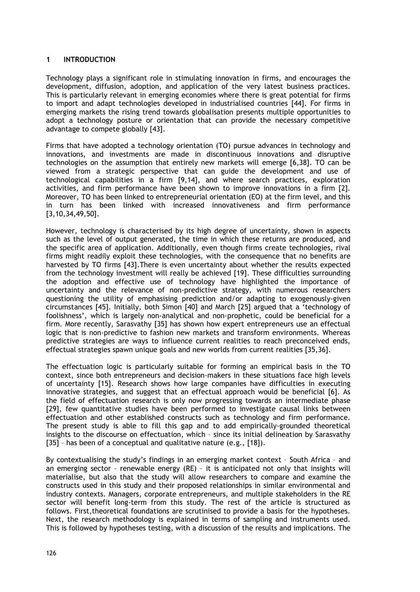# **1 INTRODUCTION**

Technology plays a significant role in stimulating innovation in firms, and encourages the development, diffusion, adoption, and application of the very latest business practices. This is particularly relevant in emerging economies where there is great potential for firms to import and adapt technologies developed in industrialised countries [44]. For firms in emerging markets the rising trend towards globalisation presents multiple opportunities to adopt a technology posture or orientation that can provide the necessary competitive advantage to compete globally [43].

Firms that have adopted a technology orientation (TO) pursue advances in technology and innovations, and investments are made in discontinuous innovations and disruptive technologies on the assumption that entirely new markets will emerge [6,38]. TO can be viewed from a strategic perspective that can guide the development and use of technological capabilities in a firm [9,14], and where search practices, exploration activities, and firm performance have been shown to improve innovations in a firm [2]. Moreover, TO has been linked to entrepreneurial orientation (EO) at the firm level, and this in turn has been linked with increased innovativeness and firm performance [3,10,34,49,50].

However, technology is characterised by its high degree of uncertainty, shown in aspects such as the level of output generated, the time in which these returns are produced, and the specific area of application. Additionally, even though firms create technologies, rival firms might readily exploit these technologies, with the consequence that no benefits are harvested by TO firms [43].There is even uncertainty about whether the results expected from the technology investment will really be achieved [19]. These difficulties surrounding the adoption and effective use of technology have highlighted the importance of uncertainty and the relevance of non-predictive strategy, with numerous researchers questioning the utility of emphasising prediction and/or adapting to exogenously-given circumstances [45]. Initially, both Simon [40] and March [25] argued that a 'technology of foolishness', which is largely non-analytical and non-prophetic, could be beneficial for a firm. More recently, Sarasvathy [35] has shown how expert entrepreneurs use an effectual logic that is non-predictive to fashion new markets and transform environments. Whereas predictive strategies are ways to influence current realities to reach preconceived ends, effectual strategies spawn unique goals and new worlds from current realities [35,36].

The effectuation logic is particularly suitable for forming an empirical basis in the TO context, since both entrepreneurs and decision-makers in these situations face high levels of uncertainty [15]. Research shows how large companies have difficulties in executing innovative strategies, and suggest that an effectual approach would be beneficial [6]. As the field of effectuation research is only now progressing towards an intermediate phase [29], few quantitative studies have been performed to investigate causal links between effectuation and other established constructs such as technology and firm performance. The present study is able to fill this gap and to add empirically-grounded theoretical insights to the discourse on effectuation, which – since its initial delineation by Sarasvathy [35] - has been of a conceptual and qualitative nature (e.g., [18]).

By contextualising the study's findings in an emerging market context – South Africa – and an emerging sector – renewable energy (RE) – it is anticipated not only that insights will materialise, but also that the study will allow researchers to compare and examine the constructs used in this study and their proposed relationships in similar environmental and industry contexts. Managers, corporate entrepreneurs, and multiple stakeholders in the RE sector will benefit long-term from this study. The rest of the article is structured as follows. First,theoretical foundations are scrutinised to provide a basis for the hypotheses. Next, the research methodology is explained in terms of sampling and instruments used. This is followed by hypotheses testing, with a discussion of the results and implications. The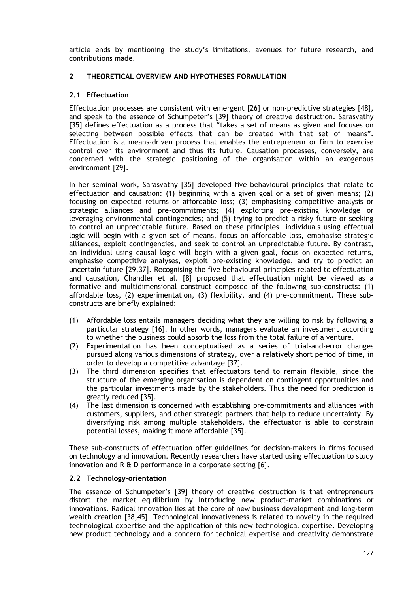article ends by mentioning the study's limitations, avenues for future research, and contributions made.

# **2 THEORETICAL OVERVIEW AND HYPOTHESES FORMULATION**

# **2.1 Effectuation**

Effectuation processes are consistent with emergent [26] or non-predictive strategies [48], and speak to the essence of Schumpeter's [39] theory of creative destruction. Sarasvathy [35] defines effectuation as a process that "takes a set of means as given and focuses on selecting between possible effects that can be created with that set of means". Effectuation is a means-driven process that enables the entrepreneur or firm to exercise control over its environment and thus its future. Causation processes, conversely, are concerned with the strategic positioning of the organisation within an exogenous environment [29].

In her seminal work, Sarasvathy [35] developed five behavioural principles that relate to effectuation and causation: (1) beginning with a given goal or a set of given means; (2) focusing on expected returns or affordable loss; (3) emphasising competitive analysis or strategic alliances and pre-commitments; (4) exploiting pre-existing knowledge or leveraging environmental contingencies; and (5) trying to predict a risky future or seeking to control an unpredictable future. Based on these principles individuals using effectual logic will begin with a given set of means, focus on affordable loss, emphasise strategic alliances, exploit contingencies, and seek to control an unpredictable future. By contrast, an individual using causal logic will begin with a given goal, focus on expected returns, emphasise competitive analyses, exploit pre-existing knowledge, and try to predict an uncertain future [29,37]. Recognising the five behavioural principles related to effectuation and causation, Chandler et al. [8] proposed that effectuation might be viewed as a formative and multidimensional construct composed of the following sub-constructs: (1) affordable loss, (2) experimentation, (3) flexibility, and (4) pre-commitment. These subconstructs are briefly explained:

- (1) Affordable loss entails managers deciding what they are willing to risk by following a particular strategy [16]. In other words, managers evaluate an investment according to whether the business could absorb the loss from the total failure of a venture.
- (2) Experimentation has been conceptualised as a series of trial-and-error changes pursued along various dimensions of strategy, over a relatively short period of time, in order to develop a competitive advantage [37].
- (3) The third dimension specifies that effectuators tend to remain flexible, since the structure of the emerging organisation is dependent on contingent opportunities and the particular investments made by the stakeholders. Thus the need for prediction is greatly reduced [35].
- (4) The last dimension is concerned with establishing pre-commitments and alliances with customers, suppliers, and other strategic partners that help to reduce uncertainty. By diversifying risk among multiple stakeholders, the effectuator is able to constrain potential losses, making it more affordable [35].

These sub-constructs of effectuation offer guidelines for decision-makers in firms focused on technology and innovation. Recently researchers have started using effectuation to study innovation and R & D performance in a corporate setting [6].

# **2.2 Technology-orientation**

The essence of Schumpeter's [39] theory of creative destruction is that entrepreneurs distort the market equilibrium by introducing new product-market combinations or innovations. Radical innovation lies at the core of new business development and long-term wealth creation [38,45]. Technological innovativeness is related to novelty in the required technological expertise and the application of this new technological expertise. Developing new product technology and a concern for technical expertise and creativity demonstrate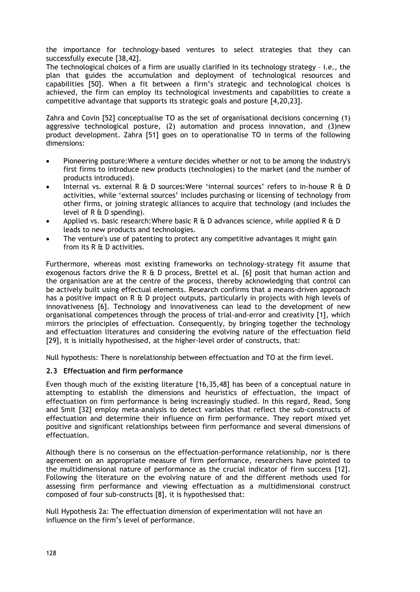the importance for technology-based ventures to select strategies that they can successfully execute [38,42].

The technological choices of a firm are usually clarified in its technology strategy – i.e., the plan that guides the accumulation and deployment of technological resources and capabilities [50]. When a fit between a firm's strategic and technological choices is achieved, the firm can employ its technological investments and capabilities to create a competitive advantage that supports its strategic goals and posture [4,20,23].

Zahra and Covin [52] conceptualise TO as the set of organisational decisions concerning (1) aggressive technological posture, (2) automation and process innovation, and (3)new product development. Zahra [51] goes on to operationalise TO in terms of the following dimensions:

- Pioneering posture:Where a venture decides whether or not to be among the industry's first firms to introduce new products (technologies) to the market (and the number of products introduced).
- Internal vs. external R & D sources:Were 'internal sources' refers to in-house R & D activities, while 'external sources' includes purchasing or licensing of technology from other firms, or joining strategic alliances to acquire that technology (and includes the level of R & D spending).
- Applied vs. basic research: Where basic R  $\&$  D advances science, while applied R  $\&$  D leads to new products and technologies.
- The venture's use of patenting to protect any competitive advantages it might gain from its R & D activities.

Furthermore, whereas most existing frameworks on technology-strategy fit assume that exogenous factors drive the R & D process, Brettel et al. [6] posit that human action and the organisation are at the centre of the process, thereby acknowledging that control can be actively built using effectual elements. Research confirms that a means-driven approach has a positive impact on R & D project outputs, particularly in projects with high levels of innovativeness [6]. Technology and innovativeness can lead to the development of new organisational competences through the process of trial-and-error and creativity [1], which mirrors the principles of effectuation. Consequently, by bringing together the technology and effectuation literatures and considering the evolving nature of the effectuation field [29], it is initially hypothesised, at the higher-level order of constructs, that:

Null hypothesis: There is norelationship between effectuation and TO at the firm level.

# **2.3 Effectuation and firm performance**

Even though much of the existing literature [16,35,48] has been of a conceptual nature in attempting to establish the dimensions and heuristics of effectuation, the impact of effectuation on firm performance is being increasingly studied. In this regard, Read, Song and Smit [32] employ meta-analysis to detect variables that reflect the sub-constructs of effectuation and determine their influence on firm performance. They report mixed yet positive and significant relationships between firm performance and several dimensions of effectuation.

Although there is no consensus on the effectuation-performance relationship, nor is there agreement on an appropriate measure of firm performance, researchers have pointed to the multidimensional nature of performance as the crucial indicator of firm success [12]. Following the literature on the evolving nature of and the different methods used for assessing firm performance and viewing effectuation as a multidimensional construct composed of four sub-constructs [8], it is hypothesised that:

Null Hypothesis 2a: The effectuation dimension of experimentation will not have an influence on the firm's level of performance.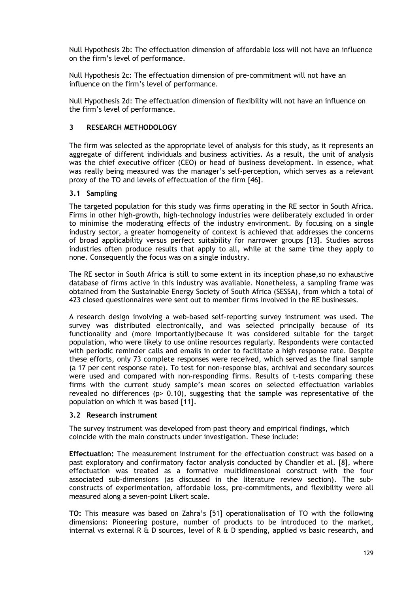Null Hypothesis 2b: The effectuation dimension of affordable loss will not have an influence on the firm's level of performance.

Null Hypothesis 2c: The effectuation dimension of pre-commitment will not have an influence on the firm's level of performance.

Null Hypothesis 2d: The effectuation dimension of flexibility will not have an influence on the firm's level of performance.

# **3 RESEARCH METHODOLOGY**

The firm was selected as the appropriate level of analysis for this study, as it represents an aggregate of different individuals and business activities. As a result, the unit of analysis was the chief executive officer (CEO) or head of business development. In essence, what was really being measured was the manager's self-perception, which serves as a relevant proxy of the TO and levels of effectuation of the firm [46].

#### **3.1 Sampling**

The targeted population for this study was firms operating in the RE sector in South Africa. Firms in other high-growth, high-technology industries were deliberately excluded in order to minimise the moderating effects of the industry environment. By focusing on a single industry sector, a greater homogeneity of context is achieved that addresses the concerns of broad applicability versus perfect suitability for narrower groups [13]. Studies across industries often produce results that apply to all, while at the same time they apply to none. Consequently the focus was on a single industry.

The RE sector in South Africa is still to some extent in its inception phase,so no exhaustive database of firms active in this industry was available. Nonetheless, a sampling frame was obtained from the Sustainable Energy Society of South Africa (SESSA), from which a total of 423 closed questionnaires were sent out to member firms involved in the RE businesses.

A research design involving a web-based self-reporting survey instrument was used. The survey was distributed electronically, and was selected principally because of its functionality and (more importantly)because it was considered suitable for the target population, who were likely to use online resources regularly. Respondents were contacted with periodic reminder calls and emails in order to facilitate a high response rate. Despite these efforts, only 73 complete responses were received, which served as the final sample (a 17 per cent response rate). To test for non-response bias, archival and secondary sources were used and compared with non-responding firms. Results of t-tests comparing these firms with the current study sample's mean scores on selected effectuation variables revealed no differences (p> 0.10), suggesting that the sample was representative of the population on which it was based [11].

#### **3.2 Research instrument**

The survey instrument was developed from past theory and empirical findings, which coincide with the main constructs under investigation. These include:

**Effectuation:** The measurement instrument for the effectuation construct was based on a past exploratory and confirmatory factor analysis conducted by Chandler et al. [8], where effectuation was treated as a formative multidimensional construct with the four associated sub-dimensions (as discussed in the literature review section). The subconstructs of experimentation, affordable loss, pre-commitments, and flexibility were all measured along a seven-point Likert scale.

**TO:** This measure was based on Zahra's [51] operationalisation of TO with the following dimensions: Pioneering posture, number of products to be introduced to the market, internal vs external R  $\&$  D sources, level of R  $\&$  D spending, applied vs basic research, and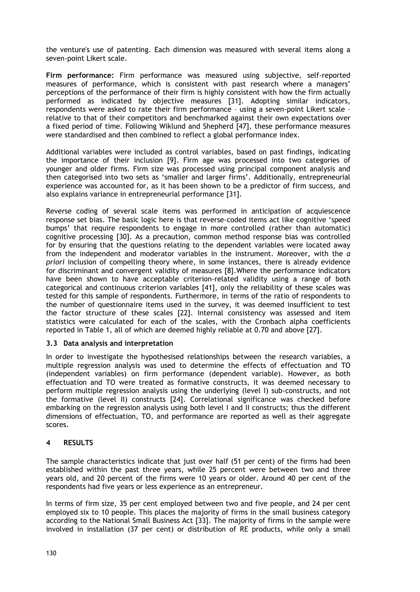the venture's use of patenting. Each dimension was measured with several items along a seven-point Likert scale.

**Firm performance:** Firm performance was measured using subjective, self-reported measures of performance, which is consistent with past research where a managers' perceptions of the performance of their firm is highly consistent with how the firm actually performed as indicated by objective measures [31]. Adopting similar indicators, respondents were asked to rate their firm performance – using a seven-point Likert scale – relative to that of their competitors and benchmarked against their own expectations over a fixed period of time. Following Wiklund and Shepherd [47], these performance measures were standardised and then combined to reflect a global performance index.

Additional variables were included as control variables, based on past findings, indicating the importance of their inclusion [9]. Firm age was processed into two categories of younger and older firms. Firm size was processed using principal component analysis and then categorised into two sets as 'smaller and larger firms'. Additionally, entrepreneurial experience was accounted for, as it has been shown to be a predictor of firm success, and also explains variance in entrepreneurial performance [31].

Reverse coding of several scale items was performed in anticipation of acquiescence response set bias. The basic logic here is that reverse-coded items act like cognitive 'speed bumps' that require respondents to engage in more controlled (rather than automatic) cognitive processing [30]. As a precaution, common method response bias was controlled for by ensuring that the questions relating to the dependent variables were located away from the independent and moderator variables in the instrument. Moreover, with the *a priori* inclusion of compelling theory where, in some instances, there is already evidence for discriminant and convergent validity of measures [8].Where the performance indicators have been shown to have acceptable criterion-related validity using a range of both categorical and continuous criterion variables [41], only the reliability of these scales was tested for this sample of respondents. Furthermore, in terms of the ratio of respondents to the number of questionnaire items used in the survey, it was deemed insufficient to test the factor structure of these scales [22]. Internal consistency was assessed and item statistics were calculated for each of the scales, with the Cronbach alpha coefficients reported in Table 1, all of which are deemed highly reliable at 0.70 and above [27].

# **3.3 Data analysis and interpretation**

In order to investigate the hypothesised relationships between the research variables, a multiple regression analysis was used to determine the effects of effectuation and TO (independent variables) on firm performance (dependent variable). However, as both effectuation and TO were treated as formative constructs, it was deemed necessary to perform multiple regression analysis using the underlying (level I) sub-constructs, and not the formative (level II) constructs [24]. Correlational significance was checked before embarking on the regression analysis using both level I and II constructs; thus the different dimensions of effectuation, TO, and performance are reported as well as their aggregate scores.

# **4 RESULTS**

The sample characteristics indicate that just over half (51 per cent) of the firms had been established within the past three years, while 25 percent were between two and three years old, and 20 percent of the firms were 10 years or older. Around 40 per cent of the respondents had five years or less experience as an entrepreneur.

In terms of firm size, 35 per cent employed between two and five people, and 24 per cent employed six to 10 people. This places the majority of firms in the small business category according to the National Small Business Act [33]. The majority of firms in the sample were involved in installation (37 per cent) or distribution of RE products, while only a small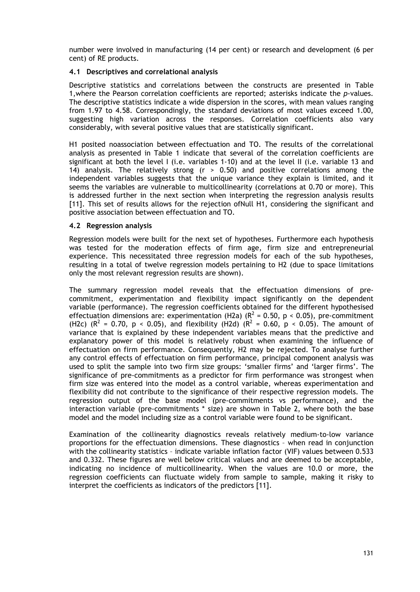number were involved in manufacturing (14 per cent) or research and development (6 per cent) of RE products.

# **4.1 Descriptives and correlational analysis**

Descriptive statistics and correlations between the constructs are presented in Table 1,where the Pearson correlation coefficients are reported; asterisks indicate the *p*-values. The descriptive statistics indicate a wide dispersion in the scores, with mean values ranging from 1.97 to 4.58. Correspondingly, the standard deviations of most values exceed 1.00, suggesting high variation across the responses. Correlation coefficients also vary considerably, with several positive values that are statistically significant.

H1 posited noassociation between effectuation and TO. The results of the correlational analysis as presented in Table 1 indicate that several of the correlation coefficients are significant at both the level I (i.e. variables 1-10) and at the level II (i.e. variable 13 and 14) analysis. The relatively strong (r > 0.50) and positive correlations among the independent variables suggests that the unique variance they explain is limited, and it seems the variables are vulnerable to multicollinearity (correlations at 0.70 or more). This is addressed further in the next section when interpreting the regression analysis results [11]. This set of results allows for the rejection ofNull H1, considering the significant and positive association between effectuation and TO.

# **4.2 Regression analysis**

Regression models were built for the next set of hypotheses. Furthermore each hypothesis was tested for the moderation effects of firm age, firm size and entrepreneurial experience. This necessitated three regression models for each of the sub hypotheses, resulting in a total of twelve regression models pertaining to H2 (due to space limitations only the most relevant regression results are shown).

The summary regression model reveals that the effectuation dimensions of precommitment, experimentation and flexibility impact significantly on the dependent variable (performance). The regression coefficients obtained for the different hypothesised effectuation dimensions are: experimentation (H2a) ( $R^2$  = 0.50, p < 0.05), pre-commitment (H2c) ( $R^2$  = 0.70, p < 0.05), and flexibility (H2d) ( $R^2$  = 0.60, p < 0.05). The amount of variance that is explained by these independent variables means that the predictive and explanatory power of this model is relatively robust when examining the influence of effectuation on firm performance. Consequently, H2 may be rejected. To analyse further any control effects of effectuation on firm performance, principal component analysis was used to split the sample into two firm size groups: 'smaller firms' and 'larger firms'. The significance of pre-commitments as a predictor for firm performance was strongest when firm size was entered into the model as a control variable, whereas experimentation and flexibility did not contribute to the significance of their respective regression models. The regression output of the base model (pre-commitments vs performance), and the interaction variable (pre-commitments \* size) are shown in Table 2, where both the base model and the model including size as a control variable were found to be significant.

Examination of the collinearity diagnostics reveals relatively medium-to-low variance proportions for the effectuation dimensions. These diagnostics – when read in conjunction with the collinearity statistics – indicate variable inflation factor (VIF) values between 0.533 and 0.332. These figures are well below critical values and are deemed to be acceptable, indicating no incidence of multicollinearity. When the values are 10.0 or more, the regression coefficients can fluctuate widely from sample to sample, making it risky to interpret the coefficients as indicators of the predictors [11].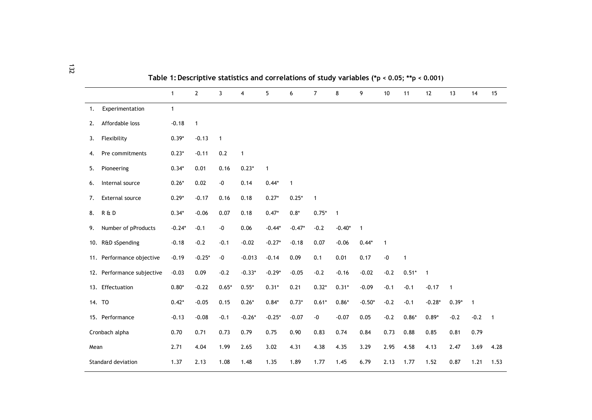|                            | $\mathbf{1}$ | $\mathbf{2}$ | $\overline{3}$    | $\overline{4}$ | 5            | 6            | $\overline{7}$ | 8              | 9            | $10$              | 11           | 12             | 13             | 14             | 15                         |
|----------------------------|--------------|--------------|-------------------|----------------|--------------|--------------|----------------|----------------|--------------|-------------------|--------------|----------------|----------------|----------------|----------------------------|
| Experimentation<br>1.      | $\mathbf{1}$ |              |                   |                |              |              |                |                |              |                   |              |                |                |                |                            |
| Affordable loss<br>2.      | $-0.18$      | $\mathbf{1}$ |                   |                |              |              |                |                |              |                   |              |                |                |                |                            |
| Flexibility<br>3.          | $0.39*$      | $-0.13$      | $\mathbf{1}$      |                |              |              |                |                |              |                   |              |                |                |                |                            |
| Pre commitments<br>4.      | $0.23*$      | $-0.11$      | 0.2               | $\mathbf{1}$   |              |              |                |                |              |                   |              |                |                |                |                            |
| Pioneering<br>5.           | $0.34*$      | 0.01         | 0.16              | $0.23*$        | $\mathbf{1}$ |              |                |                |              |                   |              |                |                |                |                            |
| Internal source<br>6.      | $0.26*$      | 0.02         | $\textnormal{-}0$ | 0.14           | $0.44*$      | $\mathbf{1}$ |                |                |              |                   |              |                |                |                |                            |
| External source<br>7.      | $0.29*$      | $-0.17$      | 0.16              | 0.18           | $0.27*$      | $0.25*$      | $\mathbf{1}$   |                |              |                   |              |                |                |                |                            |
| R & D<br>8.                | $0.34*$      | $-0.06$      | 0.07              | 0.18           | $0.47*$      | $0.8*$       | $0.75*$        | $\overline{1}$ |              |                   |              |                |                |                |                            |
| Number of pProducts<br>9.  | $-0.24*$     | $-0.1$       | $\textnormal{-}0$ | 0.06           | $-0.44*$     | $-0.47*$     | $-0.2$         | $-0.40*$       | $\mathbf{1}$ |                   |              |                |                |                |                            |
| 10. R&D sSpending          | $-0.18$      | $-0.2$       | $-0.1$            | $-0.02$        | $-0.27*$     | $-0.18$      | 0.07           | $-0.06$        | $0.44*$      | $\mathbf{1}$      |              |                |                |                |                            |
| 11. Performance objective  | $-0.19$      | $-0.25*$     | $-0$              | $-0.013$       | $-0.14$      | 0.09         | 0.1            | 0.01           | 0.17         | $\textnormal{-}0$ | $\mathbf{1}$ |                |                |                |                            |
| 12. Performance subjective | $-0.03$      | 0.09         | $-0.2$            | $-0.33*$       | $-0.29*$     | $-0.05$      | $-0.2$         | $-0.16$        | $-0.02$      | $-0.2$            | $0.51*$      | $\overline{1}$ |                |                |                            |
| 13. Effectuation           | $0.80*$      | $-0.22$      | $0.65*$           | $0.55*$        | $0.31*$      | 0.21         | $0.32*$        | $0.31*$        | $-0.09$      | $-0.1$            | $-0.1$       | $-0.17$        | $\overline{1}$ |                |                            |
| 14. TO                     | $0.42*$      | $-0.05$      | 0.15              | $0.26*$        | $0.84*$      | $0.73*$      | $0.61*$        | $0.86*$        | $-0.50*$     | $-0.2$            | $-0.1$       | $-0.28*$       | $0.39*$        | $\overline{1}$ |                            |
| 15. Performance            | $-0.13$      | $-0.08$      | $-0.1$            | $-0.26*$       | $-0.25*$     | $-0.07$      | $-0$           | $-0.07$        | 0.05         | $-0.2$            | $0.86*$      | $0.89*$        | $-0.2$         | $-0.2$         | $\overline{\phantom{0}}$ 1 |
| Cronbach alpha             | 0.70         | 0.71         | 0.73              | 0.79           | 0.75         | 0.90         | 0.83           | 0.74           | 0.84         | 0.73              | 0.88         | 0.85           | 0.81           | 0.79           |                            |
| Mean                       | 2.71         | 4.04         | 1.99              | 2.65           | 3.02         | 4.31         | 4.38           | 4.35           | 3.29         | 2.95              | 4.58         | 4.13           | 2.47           | 3.69           | 4.28                       |
| Standard deviation         | 1.37         | 2.13         | 1.08              | 1.48           | 1.35         | 1.89         | 1.77           | 1.45           | 6.79         | 2.13              | 1.77         | 1.52           | 0.87           | 1.21           | 1.53                       |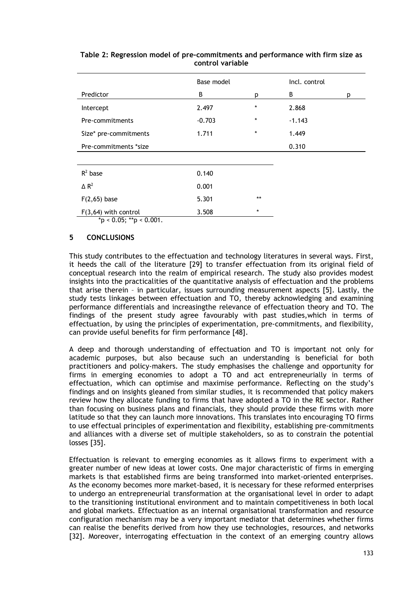|                         | Base model |         | Incl. control |   |  |  |
|-------------------------|------------|---------|---------------|---|--|--|
| Predictor               | B          | p       | B             | р |  |  |
| Intercept               | 2.497      | $\star$ | 2.868         |   |  |  |
| Pre-commitments         | $-0.703$   | $\star$ | $-1.143$      |   |  |  |
| Size* pre-commitments   | 1.711      | $\star$ | 1.449         |   |  |  |
| Pre-commitments *size   |            |         | 0.310         |   |  |  |
|                         |            |         |               |   |  |  |
| $R^2$ base              | 0.140      |         |               |   |  |  |
| $\triangle R^2$         | 0.001      |         |               |   |  |  |
| $F(2,65)$ base          | 5.301      | $***$   |               |   |  |  |
| $F(3,64)$ with control  | 3.508      | $\star$ |               |   |  |  |
| *p < 0.05; **p < 0.001. |            |         |               |   |  |  |

# **Table 2: Regression model of pre-commitments and performance with firm size as control variable**

# **5 CONCLUSIONS**

This study contributes to the effectuation and technology literatures in several ways. First, it heeds the call of the literature [29] to transfer effectuation from its original field of conceptual research into the realm of empirical research. The study also provides modest insights into the practicalities of the quantitative analysis of effectuation and the problems that arise therein – in particular, issues surrounding measurement aspects [5]. Lastly, the study tests linkages between effectuation and TO, thereby acknowledging and examining performance differentials and increasingthe relevance of effectuation theory and TO. The findings of the present study agree favourably with past studies,which in terms of effectuation, by using the principles of experimentation, pre-commitments, and flexibility, can provide useful benefits for firm performance [48].

A deep and thorough understanding of effectuation and TO is important not only for academic purposes, but also because such an understanding is beneficial for both practitioners and policy-makers. The study emphasises the challenge and opportunity for firms in emerging economies to adopt a TO and act entrepreneurially in terms of effectuation, which can optimise and maximise performance. Reflecting on the study's findings and on insights gleaned from similar studies, it is recommended that policy makers review how they allocate funding to firms that have adopted a TO in the RE sector. Rather than focusing on business plans and financials, they should provide these firms with more latitude so that they can launch more innovations. This translates into encouraging TO firms to use effectual principles of experimentation and flexibility, establishing pre-commitments and alliances with a diverse set of multiple stakeholders, so as to constrain the potential losses [35].

Effectuation is relevant to emerging economies as it allows firms to experiment with a greater number of new ideas at lower costs. One major characteristic of firms in emerging markets is that established firms are being transformed into market-oriented enterprises. As the economy becomes more market-based, it is necessary for these reformed enterprises to undergo an entrepreneurial transformation at the organisational level in order to adapt to the transitioning institutional environment and to maintain competitiveness in both local and global markets. Effectuation as an internal organisational transformation and resource configuration mechanism may be a very important mediator that determines whether firms can realise the benefits derived from how they use technologies, resources, and networks [32]. Moreover, interrogating effectuation in the context of an emerging country allows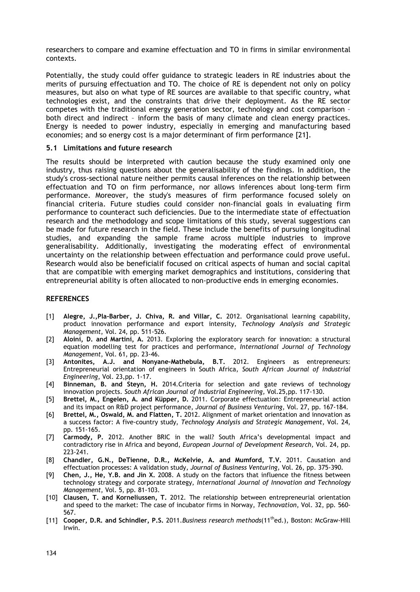researchers to compare and examine effectuation and TO in firms in similar environmental contexts.

Potentially, the study could offer guidance to strategic leaders in RE industries about the merits of pursuing effectuation and TO. The choice of RE is dependent not only on policy measures, but also on what type of RE sources are available to that specific country, what technologies exist, and the constraints that drive their deployment. As the RE sector competes with the traditional energy generation sector, technology and cost comparison – both direct and indirect – inform the basis of many climate and clean energy practices. Energy is needed to power industry, especially in emerging and manufacturing based economies; and so energy cost is a major determinant of firm performance [21].

#### **5.1 Limitations and future research**

The results should be interpreted with caution because the study examined only one industry, thus raising questions about the generalisability of the findings. In addition, the study's cross-sectional nature neither permits causal inferences on the relationship between effectuation and TO on firm performance, nor allows inferences about long-term firm performance. Moreover, the study's measures of firm performance focused solely on financial criteria. Future studies could consider non-financial goals in evaluating firm performance to counteract such deficiencies. Due to the intermediate state of effectuation research and the methodology and scope limitations of this study, several suggestions can be made for future research in the field. These include the benefits of pursuing longitudinal studies, and expanding the sample frame across multiple industries to improve generalisability. Additionally, investigating the moderating effect of environmental uncertainty on the relationship between effectuation and performance could prove useful. Research would also be beneficialif focused on critical aspects of human and social capital that are compatible with emerging market demographics and institutions, considering that entrepreneurial ability is often allocated to non-productive ends in emerging economies.

#### **REFERENCES**

- [1] **Alegre, J.,Pla-Barber, J. Chiva, R. and Villar, C.** 2012. Organisational learning capability, product innovation performance and export intensity, *Technology Analysis and Strategic Management*, Vol. 24, pp. 511-526.
- [2] **Aloini, D. and Martini, A.** 2013. Exploring the exploratory search for innovation: a structural equation modelling test for practices and performance, *International Journal of Technology Management*, Vol. 61, pp. 23-46.
- [3] **Antonites, A.J. and Nonyane-Mathebula, B.T.** 2012. Engineers as entrepreneurs: Entrepreneurial orientation of engineers in South Africa, *South African Journal of Industrial Engineering*, Vol. 23,pp. 1-17.
- [4] **Binneman, B. and Steyn, H.** 2014.Criteria for selection and gate reviews of technology innovation projects. *South African Journal of Industrial Engineering,* Vol.25,pp. 117-130.
- [5] **Brettel, M., Engelen, A. and Küpper, D.** 2011. Corporate effectuation: Entrepreneurial action and its impact on R&D project performance, *Journal of Business Venturing*, Vol. 27, pp. 167-184.
- [6] **Brettel, M., Oswald, M. and Flatten, T.** 2012. Alignment of market orientation and innovation as a success factor: A five-country study, *Technology Analysis and Strategic Management*, Vol. 24, pp. 151-165.
- [7] **Carmody, P.** 2012. Another BRIC in the wall? South Africa's developmental impact and contradictory rise in Africa and beyond, *European Journal of Development Research,* Vol. 24, pp. 223-241.
- [8] **Chandler, G.N., DeTienne, D.R., McKelvie, A. and Mumford, T.V.** 2011. Causation and effectuation processes: A validation study, *Journal of Business Venturing,* Vol. 26, pp. 375-390.
- [9] **Chen, J., He, Y.B. and Jin X.** 2008. A study on the factors that influence the fitness between technology strategy and corporate strategy, *International Journal of Innovation and Technology Management*, Vol. 5, pp. 81-103.
- [10] **Clausen, T. and Korneliussen, T.** 2012. The relationship between entrepreneurial orientation and speed to the market: The case of incubator firms in Norway, *Technovation*, Vol. 32, pp. 560- 567.
- [11] **Cooper, D.R. and Schindler, P.S.** 2011.*Business research methods*(11thed.), Boston: McGraw-Hill Irwin.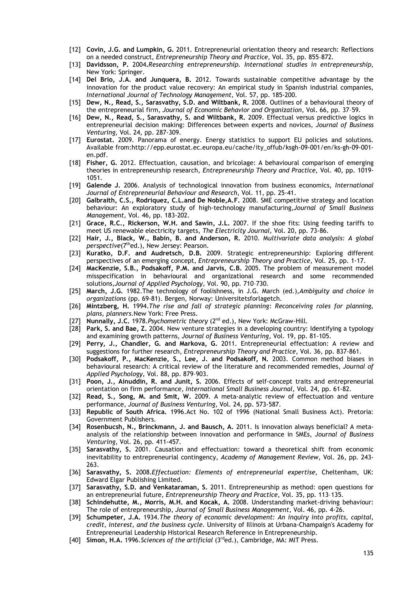- [12] **Covin, J.G. and Lumpkin, G.** 2011. Entrepreneurial orientation theory and research: Reflections on a needed construct, *Entrepreneurship Theory and Practice*, Vol. 35, pp. 855–872.
- [13] **Davidsson, P.** 2004**.***Researching entrepreneurship. International studies in entrepreneurship*, New York: Springer.
- [14] **Del Brio, J.A. and Junquera, B.** 2012. Towards sustainable competitive advantage by the innovation for the product value recovery: An empirical study in Spanish industrial companies, *International Journal of Technology Management,* Vol. 57, pp. 185-200.
- [15] **Dew, N., Read, S., Sarasvathy, S.D. and Wiltbank, R.** 2008. Outlines of a behavioural theory of the entrepreneurial firm, *Journal of Economic Behavior and Organization*, Vol. 66, pp. 37–59.
- [16] **Dew, N., Read, S., Sarasvathy, S. and Wiltbank, R.** 2009. Effectual versus predictive logics in entrepreneurial decision making: Differences between experts and novices, *Journal of Business Venturing*, Vol. 24, pp. 287-309.
- [17] **Eurostat.** 2009. Panorama of energy. Energy statistics to support EU policies and solutions. Available from:http://epp.eurostat.ec.europa.eu/cache/ity\_offub/ksgh-09-001/en/ks-gh-09-001 en.pdf.
- [18] **Fisher, G.** 2012. Effectuation, causation, and bricolage: A behavioural comparison of emerging theories in entrepreneurship research, *Entrepreneurship Theory and Practice*, Vol. 40, pp. 1019- 1051.
- [19] **Galende J.** 2006. Analysis of technological innovation from business economics, *International Journal of Entrepreneurial Behaviour and Research*, Vol. 11, pp. 25-41.
- [20] **Galbraith, C.S., Rodriquez, C.L.and De Noble,A.F.** 2008. SME competitive strategy and location behaviour: An exploratory study of high-technology manufacturing,*Journal of Small Business Management,* Vol. 46, pp. 183-202.
- [21] **Grace, R.C., Rickerson, W.H. and Sawin, J.L.** 2007. If the shoe fits: Using feeding tariffs to meet US renewable electricity targets, *The Electricity Journal,* Vol. 20, pp. 73-86.
- [22] **Hair, J., Black, W., Babin, B. and Anderson, R.** 2010. M*ultivariate data analysis: A global perspective*(7thed.), New Jersey: Pearson.
- [23] **Kuratko, D.F. and Audretsch, D.B.** 2009. Strategic entrepreneurship: Exploring different perspectives of an emerging concept, *Entrepreneurship Theory and Practice*, Vol. 25, pp. 1-17.
- [24] **MacKenzie, S.B., Podsakoff, P.M. and Jarvis, C.B.** 2005. The problem of measurement model misspecification in behavioural and organizational research and some recommended solutions,*Journal of Applied Psychology*, Vol. 90, pp. 710–730.
- [25] **March, J.G.** 1982.The technology of foolishness, in J.G. March (ed.),*Ambiguity and choice in organizations* (pp. 69-81). Bergen, Norway: Universitetsforlagetch.
- [26] **Mintzberg, H.** 1994.*The rise and fall of strategic planning: Reconceiving roles for planning, plans, planners.*New York: Free Press.
- [27] **Nunnally, J.C.** 1978.*Psychometric theory* (2nd ed.), New York: McGraw-Hill.
- [28] **Park, S. and Bae, Z.** 2004. New venture strategies in a developing country: Identifying a typology and examining growth patterns, *Journal of Business Venturing,* Vol. 19, pp. 81-105.
- [29] **Perry, J., Chandler, G. and Markova, G.** 2011. Entrepreneurial effectuation: A review and suggestions for further research, *Entrepreneurship Theory and Practice*, Vol. 36, pp. 837-861.
- [30] **Podsakoff, P., MacKenzie, S., Lee, J. and Podsakoff, N.** 2003. Common method biases in behavioural research: A critical review of the literature and recommended remedies, *Journal of Applied Psychology,* Vol. 88, pp. 879–903.
- [31] **Poon, J., Ainuddin, R. and Junit, S.** 2006. Effects of self-concept traits and entrepreneurial orientation on firm performance, *International Small Business Journal,* Vol. 24, pp. 61-82.
- [32] **Read, S., Song, M. and Smit, W.** 2009. A meta-analytic review of effectuation and venture performance, *Journal of Business Venturing*, Vol. 24, pp. 573-587.
- [33] **Republic of South Africa.** 1996.Act No. 102 of 1996 (National Small Business Act). Pretoria: Government Publishers.
- [34] **Rosenbucsh, N., Brinckmann, J. and Bausch, A.** 2011. Is innovation always beneficial? A metaanalysis of the relationship between innovation and performance in SMEs, *Journal of Business Venturing*, Vol. 26, pp. 411-457.
- [35] **Sarasvathy, S.** 2001. Causation and effectuation: toward a theoretical shift from economic inevitability to entrepreneurial contingency, *Academy of Management Review*, Vol. 26, pp. 243- 263.
- [36] **Sarasvathy, S.** 2008.*Effectuation: Elements of entrepreneurial expertise*, Cheltenham, UK: Edward Elgar Publishing Limited.
- [37] **Sarasvathy, S.D. and Venkataraman, S.** 2011. Entrepreneurship as method: open questions for an entrepreneurial future, *Entrepreneurship Theory and Practice*, Vol. 35, pp. 113–135.
- [38] **Schindehutte, M., Morris, M.H. and Kocak, A.** 2008. Understanding market-driving behaviour: The role of entrepreneurship, *Journal of Small Business Management*, Vol. 46, pp. 4-26.
- [39] **Schumpeter, J.A.** 1934.*The theory of economic development: An inquiry into profits, capital, credit, interest, and the business cycle.* University of Illinois at Urbana-Champaign's Academy for Entrepreneurial Leadership Historical Research Reference in Entrepreneurship.
- [40] **Simon, H.A.** 1996.*Sciences of the artificial* (3rded.), Cambridge, MA: MIT Press.